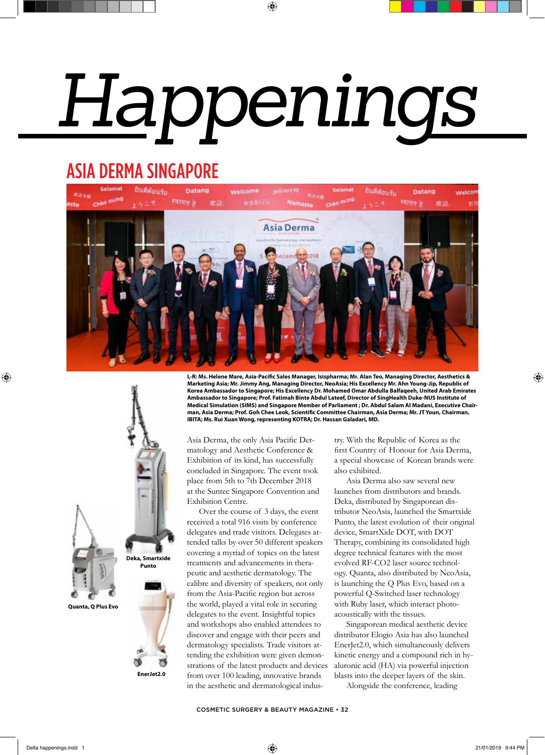## *Happenings*

⊕

## ASIA DERMA SINGAPORE



**L-R: Ms. Helene Mare, Asia-Pacific Sales Manager, Isispharma; Mr. Alan Teo, Managing Director, Aesthetics & Marketing Asia; Mr. Jimmy Ang, Managing Director, NeoAsia; His Excellency Mr. Ahn Young-Jip, Republic of Korea Ambassador to Singapore; His Excellency Dr. Mohamed Omar Abdulla Balfaqeeh, United Arab Emirates Ambassador to Singapore; Prof. Fatimah Binte Abdul Lateef, Director of SingHealth Duke-NUS Institute of Medical Simulation (SIMS) and Singapore Member of Parliament ; Dr. Abdul Salam Al Madani, Executive Chairman, Asia Derma; Prof. Goh Chee Leok, Scientific Committee Chairman, Asia Derma; Mr. JT Youn, Chairman, IBITA; Ms. Rui Xuan Wong, representing KOTRA; Dr. Hassan Galadari, MD.**

Asia Derma, the only Asia Pacific Dermatology and Aesthetic Conference & Exhibition of its kind, has successfully concluded in Singapore. The event took place from 5th to 7th December 2018 at the Suntec Singapore Convention and Exhibition Centre.

Over the course of 3 days, the event received a total 916 visits by conference delegates and trade visitors. Delegates attended talks by over 50 different speakers covering a myriad of topics on the latest treatments and advancements in therapeutic and aesthetic dermatology. The calibre and diversity of speakers, not only from the Asia-Pacific region but across the world, played a vital role in securing delegates to the event. Insightful topics and workshops also enabled attendees to discover and engage with their peers and dermatology specialists. Trade visitors attending the exhibition were given demonstrations of the latest products and devices from over 100 leading, innovative brands in the aesthetic and dermatological industry. With the Republic of Korea as the first Country of Honour for Asia Derma, a special showcase of Korean brands were also exhibited.

Asia Derma also saw several new launches from distributors and brands. Deka, distributed by Singaporean distributor NeoAsia, launched the Smartxide Punto, the latest evolution of their original device, SmartXide DOT, with DOT Therapy, combining its consolidated high degree technical features with the most evolved RF-CO2 laser source technology. Quanta, also distributed by NeoAsia, is launching the Q Plus Evo, based on a powerful Q-Switched laser technology with Ruby laser, which interact photoacoustically with the tissues.

Singaporean medical aesthetic device distributor Elogio Asia has also launched EnerJet2.0, which simultaneously delivers kinetic energy and a compound rich in hyaluronic acid (HA) via powerful injection blasts into the deeper layers of the skin.

Alongside the conference, leading

COSMETIC SURGERY & BEAUTY MAGAZINE • 32



 $\bigoplus$ 

**Deka, Smartxide Punto**

**EnerJet2.0**

ಠ



⊕